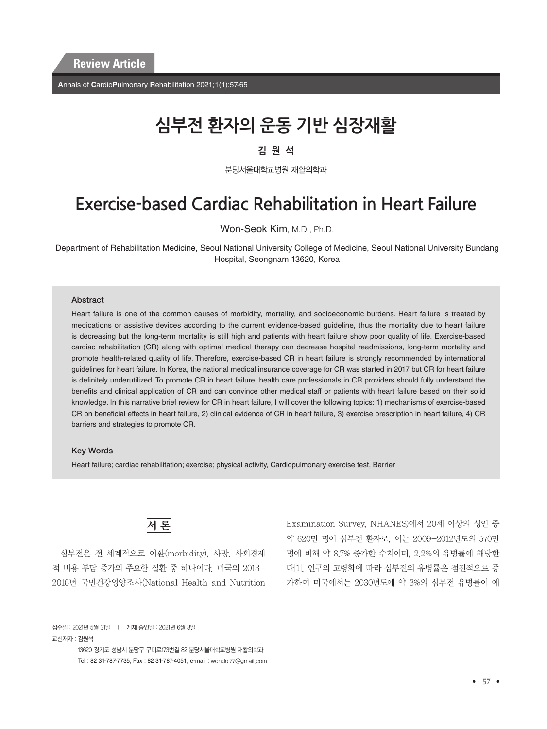**A**nnals of **C**ardio**P**ulmonary **R**ehabilitation 2021;1(1):57-65

# **심부전 환자의 운동 기반 심장재활**

#### 김원석

분당서울대학교병원 재활의학과

## **Exercise-based Cardiac Rehabilitation in Heart Failure**

Won-Seok Kim, M.D., Ph.D.

Department of Rehabilitation Medicine, Seoul National University College of Medicine, Seoul National University Bundang Hospital, Seongnam 13620, Korea

#### **Abstract**

Heart failure is one of the common causes of morbidity, mortality, and socioeconomic burdens. Heart failure is treated by medications or assistive devices according to the current evidence-based guideline, thus the mortality due to heart failure is decreasing but the long-term mortality is still high and patients with heart failure show poor quality of life. Exercise-based cardiac rehabilitation (CR) along with optimal medical therapy can decrease hospital readmissions, long-term mortality and promote health-related quality of life. Therefore, exercise-based CR in heart failure is strongly recommended by international guidelines for heart failure. In Korea, the national medical insurance coverage for CR was started in 2017 but CR for heart failure is definitely underutilized. To promote CR in heart failure, health care professionals in CR providers should fully understand the benefits and clinical application of CR and can convince other medical staff or patients with heart failure based on their solid knowledge. In this narrative brief review for CR in heart failure, I will cover the following topics: 1) mechanisms of exercise-based CR on beneficial effects in heart failure, 2) clinical evidence of CR in heart failure, 3) exercise prescription in heart failure, 4) CR barriers and strategies to promote CR.

#### Key Words

Heart failure; cardiac rehabilitation; exercise; physical activity, Cardiopulmonary exercise test, Barrier



심부전은 전 세계적으로 이환(morbidity), 사망, 사회경제 적 비용 부담 증가의 주요한 질환 중 하나이다. 미국의 2013- 2016년 국민건강영양조사(National Health and Nutrition Examination Survey, NHANES)에서 20세 이상의 성인 중 약 620만 명이 심부전 환자로, 이는 2009-2012년도의 570만 명에 비해 약 8.7% 증가한 수치이며, 2.2%의 유병률에 해당한 다[1]. 인구의 고령화에 따라 심부전의 유병률은 점진적으로 증 가하여 미국에서는 2030년도에 약 3%의 심부전 유병률이 예

접수일 : 2021년 5월 31일 l 게재 승인일 : 2021년 6월 8일 교신저자 : 김원석

> 13620 경기도 성남시 분당구 구미로173번길 82 분당서울대학교병원 재활의학과 Tel : 82 31-787-7735, Fax : 82 31-787-4051, e-mail : wondol77@gmail.com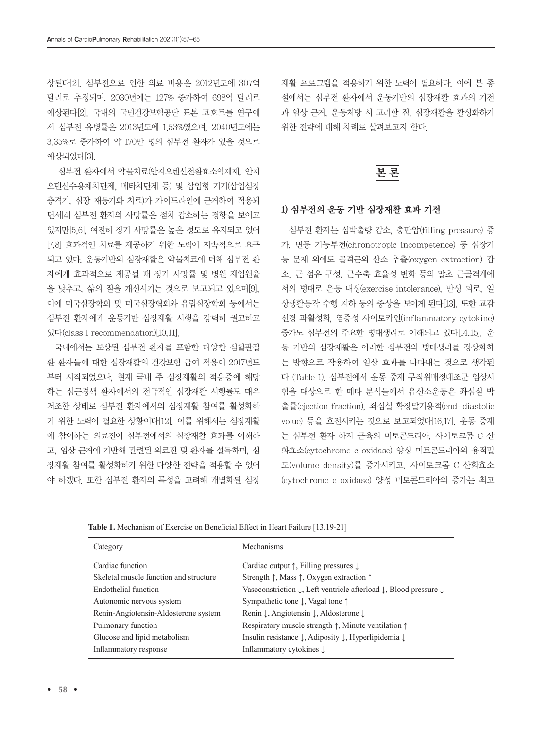상된다[2]. 심부전으로 인한 의료 비용은 2012년도에 307억 달러로 추정되며, 2030년에는 127% 증가하여 698억 달러로 예상된다[2]. 국내의 국민건강보험공단 표본 코호트를 연구에 서 심부전 유병률은 2013년도에 1.53%였으며, 2040년도에는 3.35%로 증가하여 약 170만 명의 심부전 환자가 있을 것으로 예상되었다[3].

 심부전 환자에서 약물치료(안지오텐신전환효소억제제, 안지 오텐신수용체차단제, 베타차단제 등) 및 삽입형 기기(삽입심장 충격기, 심장 재동기화 치료)가 가이드라인에 근거하여 적용되 면서[4] 심부전 환자의 사망률은 점차 감소하는 경향을 보이고 있지만[5,6], 여전히 장기 사망률은 높은 정도로 유지되고 있어 [7,8] 효과적인 치료를 제공하기 위한 노력이 지속적으로 요구 되고 있다. 운동기반의 심장재활은 약물치료에 더해 심부전 환 자에게 효과적으로 제공될 때 장기 사망률 및 병원 재입원율 을 낮추고, 삶의 질을 개선시키는 것으로 보고되고 있으며[9], 이에 미국심장학회 및 미국심장협회와 유럽심장학회 등에서는 심부전 환자에게 운동기반 심장재활 시행을 강력히 권고하고 있다(class I recommendation)[10,11].

국내에서는 보상된 심부전 환자를 포함한 다양한 심혈관질 환 환자들에 대한 심장재활의 건강보험 급여 적용이 2017년도 부터 시작되었으나, 현재 국내 주 심장재활의 적응증에 해당 하는 심근경색 환자에서의 전국적인 심장재활 시행률도 매우 저조한 상태로 심부전 환자에서의 심장재활 참여를 활성화하 기 위한 노력이 필요한 상황이다[12]. 이를 위해서는 심장재활 에 참여하는 의료진이 심부전에서의 심장재활 효과를 이해하 고, 임상 근거에 기반해 관련된 의료진 및 환자를 설득하며, 심 장재활 참여를 활성화하기 위한 다양한 전략을 적용할 수 있어 야 하겠다. 또한 심부전 환자의 특성을 고려해 개별화된 심장 재활 프로그램을 적용하기 위한 노력이 필요하다. 이에 본 종 설에서는 심부전 환자에서 운동기반의 심장재활 효과의 기전 과 임상 근거, 운동처방 시 고려할 점, 심장재활을 활성화하기 위한 전략에 대해 차례로 살펴보고자 한다.

### 본 론

#### 1) 심부전의 운동 기반 심장재활 효과 기전

심부전 환자는 심박출량 감소, 충만압(filling pressure) 증 가, 변동 기능부전(chronotropic incompetence) 등 심장기 능 문제 외에도 골격근의 산소 추출(oxygen extraction) 감 소, 근 섬유 구성, 근수축 효율성 변화 등의 말초 근골격계에 서의 병태로 운동 내성(exercise intolerance), 만성 피로, 일 상생활동작 수행 저하 등의 증상을 보이게 된다[13]. 또한 교감 신경 과활성화, 염증성 사이토카인(inflammatory cytokine) 증가도 심부전의 주요한 병태생리로 이해되고 있다[14,15]. 운 동 기반의 심장재활은 이러한 심부전의 병태생리를 정상화하 는 방향으로 작용하여 임상 효과를 나타내는 것으로 생각된 다 (Table 1). 심부전에서 운동 중재 무작위배정대조군 임상시 험을 대상으로 한 메타 분석들에서 유산소운동은 좌심실 박 출률(ejection fraction), 좌심실 확장말기용적(end-diastolic volue) 등을 호전시키는 것으로 보고되었다[16,17]. 운동 중재 는 심부전 환자 하지 근육의 미토콘드리아, 사이토크롬 C 산 화효소(cytochrome c oxidase) 양성 미토콘드리아의 용적밀 도(volume density)를 증가시키고, 사이토크롬 C 산화효소 (cytochrome c oxidase) 양성 미토콘드리아의 증가는 최고

| Category                               | Mechanisms                                                                                          |
|----------------------------------------|-----------------------------------------------------------------------------------------------------|
| Cardiac function                       | Cardiac output $\uparrow$ , Filling pressures $\downarrow$                                          |
| Skeletal muscle function and structure | Strength $\uparrow$ , Mass $\uparrow$ , Oxygen extraction $\uparrow$                                |
| Endothelial function                   | Vasoconstriction $\downarrow$ , Left ventricle afterload $\downarrow$ , Blood pressure $\downarrow$ |
| Autonomic nervous system               | Sympathetic tone $\downarrow$ , Vagal tone $\uparrow$                                               |
| Renin-Angiotensin-Aldosterone system   | Renin J, Angiotensin J, Aldosterone J                                                               |
| Pulmonary function                     | Respiratory muscle strength $\uparrow$ , Minute ventilation $\uparrow$                              |
| Glucose and lipid metabolism           | Insulin resistance $\downarrow$ , Adiposity $\downarrow$ , Hyperlipidemia $\downarrow$              |
| Inflammatory response                  | Inflammatory cytokines $\downarrow$                                                                 |
|                                        |                                                                                                     |

**Table 1.** Mechanism of Exercise on Beneficial Effect in Heart Failure [13,19-21]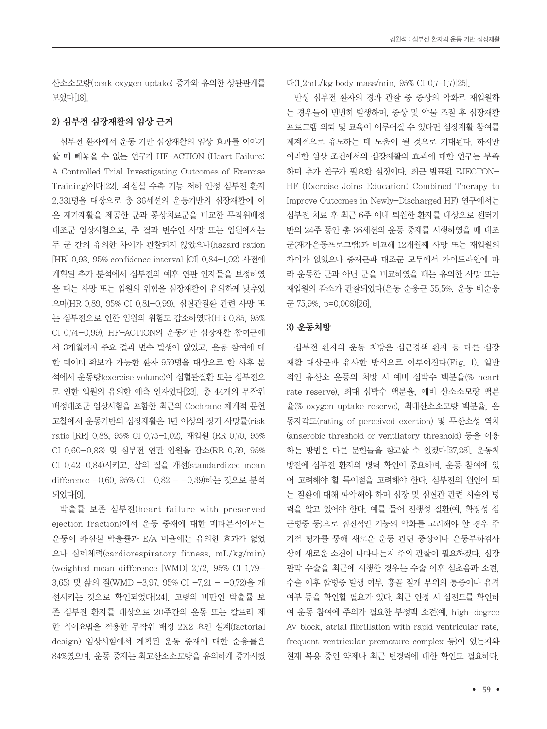산소소모량(peak oxygen uptake) 증가와 유의한 상관관계를 보였다[18].

#### 2) 심부전 심장재활의 임상 근거

심부전 환자에서 운동 기반 심장재활의 임상 효과를 이야기 할 때 빼놓을 수 없는 연구가 HF-ACTION (Heart Failure: A Controlled Trial Investigating Outcomes of Exercise Training)이다[22]. 좌심실 수축 기능 저하 안정 심부전 환자 2,331명을 대상으로 총 36세션의 운동기반의 심장재활에 이 은 재가재활을 제공한 군과 통상치료군을 비교한 무작위배정 대조군 임상시험으로, 주 결과 변수인 사망 또는 입원에서는 두 군 간의 유의한 차이가 관찰되지 않았으나(hazard ration [HR] 0.93, 95% confidence interval [CI] 0.84-1.02) 사전에 계획된 추가 분석에서 심부전의 예후 연관 인자들을 보정하였 을 때는 사망 또는 입원의 위험을 심장재활이 유의하게 낮추었 으며(HR 0.89, 95% CI 0.81-0.99), 심혈관질환 관련 사망 또 는 심부전으로 인한 입원의 위험도 감소하였다(HR 0.85, 95% CI 0.74-0.99). HF-ACTION의 운동기반 심장재활 참여군에 서 3개월까지 주요 결과 변수 발생이 없었고, 운동 참여에 대 한 데이터 확보가 가능한 환자 959명을 대상으로 한 사후 분 석에서 운동량(exercise volume)이 심혈관질환 또는 심부전으 로 인한 입원의 유의한 예측 인자였다[23]. 총 44개의 무작위 배정대조군 임상시험을 포함한 최근의 Cochrane 체계적 문헌 고찰에서 운동기반의 심장재활은 1년 이상의 장기 사망률(risk ratio [RR] 0.88, 95% CI 0.75-1.02), 재입원 (RR 0.70, 95% CI 0.60-0.83) 및 심부전 연관 입원을 감소(RR 0.59, 95% CI 0.42-0.84)시키고, 삶의 질을 개선(standardized mean difference -0.60, 95% CI -0.82 - -0.39)하는 것으로 분석 되었다[9].

박출률 보존 심부전(heart failure with preserved ejection fraction)에서 운동 중재에 대한 메타분석에서는 운동이 좌심실 박출률과 E/A 비율에는 유의한 효과가 없었 으나 심폐체력(cardiorespiratory fitness, mL/kg/min) (weighted mean difference [WMD] 2.72, 95% CI 1.79- 3.65) 및 삶의 질(WMD -3.97, 95% CI -7.21 - -0.72)을 개 선시키는 것으로 확인되었다[24]. 고령의 비만인 박출률 보 존 심부전 환자를 대상으로 20주간의 운동 또는 칼로리 제 한 식이요법을 적용한 무작위 배정 2X2 요인 설계(factorial design) 임상시험에서 계획된 운동 중재에 대한 순응률은 84%였으며, 운동 중재는 최고산소소모량을 유의하게 증가시켰 다(1.2mL/kg body mass/min, 95% CI 0.7-1.7)[25].

만성 심부전 환자의 경과 관찰 중 증상의 악화로 재입원하 는 경우들이 빈번히 발생하며, 증상 및 약물 조절 후 심장재활 프로그램 의뢰 및 교육이 이루어질 수 있다면 심장재활 참여를 체계적으로 유도하는 데 도움이 될 것으로 기대된다. 하지만 이러한 임상 조건에서의 심장재활의 효과에 대한 연구는 부족 하며 추가 연구가 필요한 실정이다. 최근 발표된 EJECTON-HF (Exercise Joins Education: Combined Therapy to Improve Outcomes in Newly-Discharged HF) 연구에서는 심부전 치료 후 최근 6주 이내 퇴원한 환자를 대상으로 센터기 반의 24주 동안 총 36세션의 운동 중재를 시행하였을 때 대조 군(재가운동프로그램)과 비교해 12개월째 사망 또는 재입원의 차이가 없었으나 중재군과 대조군 모두에서 가이드라인에 따 라 운동한 군과 아닌 군을 비교하였을 때는 유의한 사망 또는 재입원의 감소가 관찰되었다(운동 순응군 55.5%, 운동 비순응 군 75.9%, p=0.008)[26].

#### 3) 운동처방

심부전 환자의 운동 처방은 심근경색 환자 등 다른 심장 재활 대상군과 유사한 방식으로 이루어진다(Fig. 1). 일반 적인 유산소 운동의 처방 시 예비 심박수 백분율(% heart rate reserve), 최대 심박수 백분율, 예비 산소소모량 백분 율(% oxygen uptake reserve), 최대산소소모량 백분율, 운 동자각도(rating of perceived exertion) 및 무산소성 역치 (anaerobic threshold or ventilatory threshold) 등을 이용 하는 방법은 다른 문헌들을 참고할 수 있겠다[27,28]. 운동처 방전에 심부전 환자의 병력 확인이 중요하며, 운동 참여에 있 어 고려해야 할 특이점을 고려해야 한다. 심부전의 원인이 되 는 질환에 대해 파악해야 하며 심장 및 심혈관 관련 시술의 병 력을 알고 있어야 한다. 예를 들어 진행성 질환(예, 확장성 심 근병증 등)으로 점진적인 기능의 악화를 고려해야 할 경우 주 기적 평가를 통해 새로운 운동 관련 증상이나 운동부하검사 상에 새로운 소견이 나타나는지 주의 관찰이 필요하겠다. 심장 판막 수술을 최근에 시행한 경우는 수술 이후 심초음파 소견, 수술 이후 합병증 발생 여부, 흉골 절개 부위의 통증이나 유격 여부 등을 확인할 필요가 있다. 최근 안정 시 심전도를 확인하 여 운동 참여에 주의가 필요한 부정맥 소견(예, high-degree AV block, atrial fibrillation with rapid ventricular rate, frequent ventricular premature complex 등)이 있는지와 현재 복용 중인 약제나 최근 변경력에 대한 확인도 필요하다.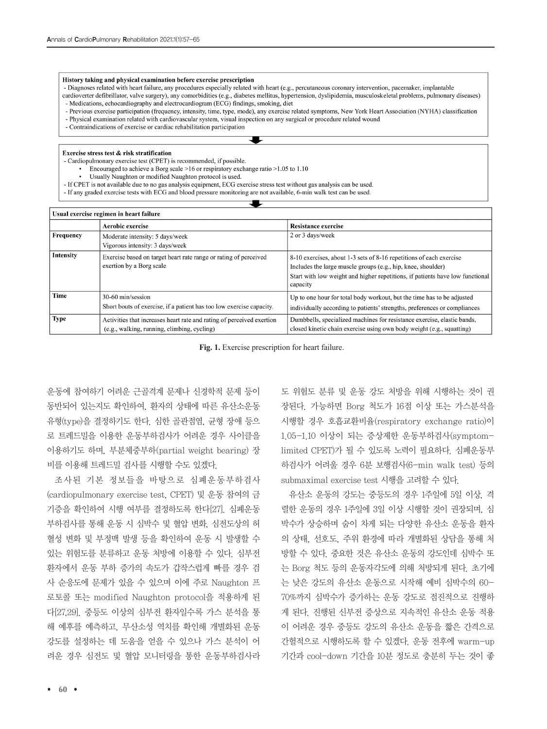#### History taking and physical examination before exercise prescription

- Diagnoses related with heart failure, any procedures especially related with heart (e.g., percutaneous coronary intervention, pacemaker, implantable
- cardioverter defibrillator, valve surgery), any comorbidities (e.g., diabetes mellitus, hypertension, dyslipidemia, musculoskeletal problems, pulmonary diseases) - Medications, echocardiography and electrocardiogram (ECG) findings, smoking, diet
- Previous exercise participation (frequency, intensity, time, type, mode), any exercise related symptoms, New York Heart Association (NYHA) classification
- Physical examination related with cardiovascular system, visual inspection on any surgical or procedure related wound
- Contraindications of exercise or cardiac rehabilitation participation

Exercise stress test & risk stratification

- Cardiopulmonary exercise test (CPET) is recommended, if possible.
	- Encouraged to achieve a Borg scale >16 or respiratory exchange ratio >1.05 to 1.10
	- · Usually Naughton or modified Naughton protocol is used.
- If CPET is not available due to no gas analysis equipment, ECG exercise stress test without gas analysis can be used.
- If any graded exercise tests with ECG and blood pressure monitoring are not available, 6-min walk test can be used.

| Usual exercise regimen in heart failure |                                                                                                                                                                                                                                                  |                                                                                                                                                                                                                                  |  |  |
|-----------------------------------------|--------------------------------------------------------------------------------------------------------------------------------------------------------------------------------------------------------------------------------------------------|----------------------------------------------------------------------------------------------------------------------------------------------------------------------------------------------------------------------------------|--|--|
|                                         | Aerobic exercise                                                                                                                                                                                                                                 | Resistance exercise                                                                                                                                                                                                              |  |  |
| Frequency                               | Moderate intensity: 5 days/week<br>Vigorous intensity: 3 days/week                                                                                                                                                                               | 2 or 3 days/week                                                                                                                                                                                                                 |  |  |
| Intensity                               | Exercise based on target heart rate range or rating of perceived<br>exertion by a Borg scale                                                                                                                                                     | 8-10 exercises, about 1-3 sets of 8-16 repetitions of each exercise<br>Includes the large muscle groups (e.g., hip, knee, shoulder)<br>Start with low weight and higher repetitions, if patients have low functional<br>capacity |  |  |
| Time                                    | 30-60 min/session<br>Up to one hour for total body workout, but the time has to be adjusted<br>Short bouts of exercise, if a patient has too low exercise capacity.<br>individually according to patients' strengths, preferences or compliances |                                                                                                                                                                                                                                  |  |  |
| <b>Type</b>                             | Activities that increases heart rate and rating of perceived exertion<br>(e.g., walking, running, climbing, cycling)                                                                                                                             | Dumbbells, specialized machines for resistance exercise, elastic bands,<br>closed kinetic chain exercise using own body weight (e.g., squatting)                                                                                 |  |  |

**Fig. 1.** Exercise prescription for heart failure.

운동에 참여하기 어려운 근골격계 문제나 신경학적 문제 등이 동반되어 있는지도 확인하여, 환자의 상태에 따른 유산소운동 유형(type)을 결정하기도 한다. 심한 골관점염, 균형 장애 등으 로 트레드밀을 이용한 운동부하검사가 어려운 경우 사이클을 이용하기도 하며, 부분체중부하(partial weight bearing) 장 비를 이용해 트레드밀 검사를 시행할 수도 있겠다.

조사된 기본 정보들을 바탕으로 심폐운동부하검사 (cardiopulmonary exercise test, CPET) 및 운동 참여의 금 기증을 확인하여 시행 여부를 결정하도록 한다[27]. 심폐운동 부하검사를 통해 운동 시 심박수 및 혈압 변화, 심전도상의 허 혈성 변화 및 부정맥 발생 등을 확인하여 운동 시 발생할 수 있는 위험도를 분류하고 운동 처방에 이용할 수 있다. 심부전 환자에서 운동 부하 증가의 속도가 갑작스럽게 빠를 경우 검 사 순응도에 문제가 있을 수 있으며 이에 주로 Naughton 프 로토콜 또는 modified Naughton protocol을 적용하게 된 다[27,29]. 중등도 이상의 심부전 환자일수록 가스 분석을 통 해 예후를 예측하고, 무산소성 역치를 확인해 개별화된 운동 강도를 설정하는 데 도움을 얻을 수 있으나 가스 분석이 어 려운 경우 심전도 및 혈압 모니터링을 통한 운동부하검사라 도 위험도 분류 및 운동 강도 처방을 위해 시행하는 것이 권 장된다. 가능하면 Borg 척도가 16점 이상 또는 가스분석을 시행할 경우 호흡교환비율(respiratory exchange ratio)이 1.05-1.10 이상이 되는 증상제한 운동부하검사(symptomlimited CPET)가 될 수 있도록 노력이 필요하다. 심폐운동부 하검사가 어려울 경우 6분 보행검사(6-min walk test) 등의 submaximal exercise test 시행을 고려할 수 있다.

유산소 운동의 강도는 중등도의 경우 1주일에 5일 이상, 격 렬한 운동의 경우 1주일에 3일 이상 시행할 것이 권장되며, 심 박수가 상승하며 숨이 차게 되는 다양한 유산소 운동을 환자 의 상태, 선호도, 주위 환경에 따라 개별화된 상담을 통해 처 방할 수 있다. 중요한 것은 유산소 운동의 강도인데 심박수 또 는 Borg 척도 등의 운동자각도에 의해 처방되게 된다. 초기에 는 낮은 강도의 유산소 운동으로 시작해 예비 심박수의 60- 70%까지 심박수가 증가하는 운동 강도로 점진적으로 진행하 게 된다. 진행된 신부전 증상으로 지속적인 유산소 운동 적용 이 어려운 경우 중등도 강도의 유산소 운동을 짧은 간격으로 간헐적으로 시행하도록 할 수 있겠다. 운동 전후에 warm-up 기간과 cool-down 기간을 10분 정도로 충분히 두는 것이 좋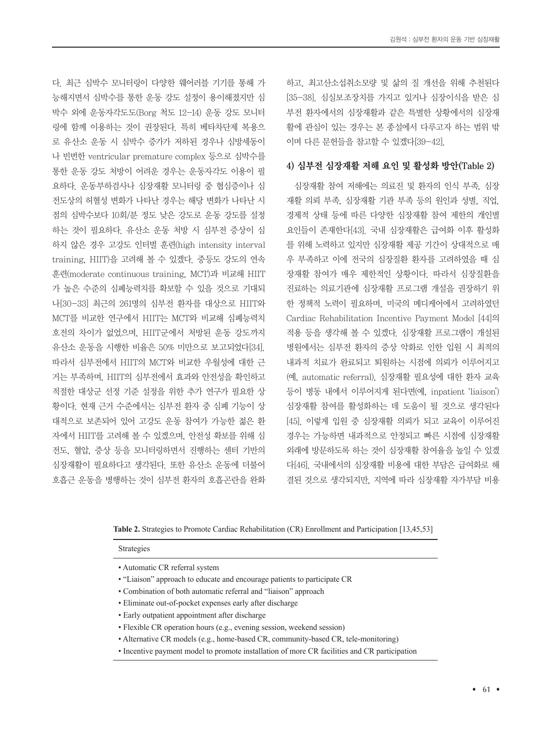다. 최근 심박수 모니터링이 다양한 웨어러블 기기를 통해 가 능해지면서 심박수를 통한 운동 강도 설정이 용이해졌지만 심 박수 외에 운동자각도도(Borg 척도 12-14) 운동 강도 모니터 링에 함께 이용하는 것이 권장된다. 특히 베타차단제 복용으 로 유산소 운동 시 심박수 증가가 저하된 경우나 심방세동이 나 빈번한 ventricular premature complex 등으로 심박수를 통한 운동 강도 처방이 어려운 경우는 운동자각도 이용이 필 요하다. 운동부하검사나 심장재활 모니터링 중 협심증이나 심 전도상의 허혈성 변화가 나타난 경우는 해당 변화가 나타난 시 점의 심박수보다 10회/분 정도 낮은 강도로 운동 강도를 설정 하는 것이 필요하다. 유산소 운동 처방 시 심부전 증상이 심 하지 않은 경우 고강도 인터벌 훈련(high intensity interval training, HIIT)을 고려해 볼 수 있겠다. 중등도 강도의 연속 훈련(moderate continuous training, MCT)과 비교해 HIIT 가 높은 수준의 심폐능력치를 확보할 수 있을 것으로 기대되 나[30-33] 최근의 261명의 심부전 환자를 대상으로 HIIT와 MCT를 비교한 연구에서 HIIT는 MCT와 비교해 심폐능력치 호전의 차이가 없었으며, HIIT군에서 처방된 운동 강도까지 유산소 운동을 시행한 비율은 50% 미만으로 보고되었다[34]. 따라서 심부전에서 HIIT의 MCT와 비교한 우월성에 대한 근 거는 부족하며, HIIT의 심부전에서 효과와 안전성을 확인하고 적절한 대상군 선정 기준 설정을 위한 추가 연구가 필요한 상 황이다. 현재 근거 수준에서는 심부전 환자 중 심폐 기능이 상 대적으로 보존되어 있어 고강도 운동 참여가 가능한 젊은 환 자에서 HIIT를 고려해 볼 수 있겠으며, 안전성 확보를 위해 심 전도, 혈압, 증상 등을 모니터링하면서 진행하는 센터 기반의 심장재활이 필요하다고 생각된다. 또한 유산소 운동에 더불어 호흡근 운동을 병행하는 것이 심부전 환자의 호흡곤란을 완화 하고, 최고산소섭취소모량 및 삶의 질 개선을 위해 추천된다 [35-38]. 심실보조장치를 가지고 있거나 심장이식을 받은 심 부전 환자에서의 심장재활과 같은 특별한 상황에서의 심장재 활에 관심이 있는 경우는 본 종설에서 다루고자 하는 범위 밖 이며 다른 문헌들을 참고할 수 있겠다[39-42].

#### 4) 심부전 심장재활 저해 요인 및 활성화 방안(Table 2)

심장재활 참여 저해에는 의료진 및 환자의 인식 부족, 심장 재활 의뢰 부족, 심장재활 기관 부족 등의 원인과 성별, 직업, 경제적 상태 등에 따른 다양한 심장재활 참여 제한의 개인별 요인들이 존재한다[43]. 국내 심장재활은 급여화 이후 활성화 를 위해 노력하고 있지만 심장재활 제공 기간이 상대적으로 매 우 부족하고 이에 전국의 심장질환 환자를 고려하였을 때 심 장재활 참여가 매우 제한적인 상황이다. 따라서 심장질환을 진료하는 의료기관에 심장재활 프로그램 개설을 권장하기 위 한 정책적 노력이 필요하며, 미국의 메디케어에서 고려하였던 Cardiac Rehabilitation Incentive Payment Model [44]의 적용 등을 생각해 볼 수 있겠다. 심장재활 프로그램이 개설된 병원에서는 심부전 환자의 증상 악화로 인한 입원 시 최적의 내과적 치료가 완료되고 퇴원하는 시점에 의뢰가 이루어지고 (예, automatic referral), 심장재활 필요성에 대한 환자 교육 등이 병동 내에서 이루어지게 된다면(예, inpatient 'liaison') 심장재활 참여를 활성화하는 데 도움이 될 것으로 생각된다 [45]. 이렇게 입원 중 심장재활 의뢰가 되고 교육이 이루어진 경우는 가능하면 내과적으로 안정되고 빠른 시점에 심장재활 외래에 방문하도록 하는 것이 심장재활 참여율을 높일 수 있겠 다[46]. 국내에서의 심장재활 비용에 대한 부담은 급여화로 해 결된 것으로 생각되지만, 지역에 따라 심장재활 자가부담 비용

| Table 2. Strategies to Promote Cardiac Rehabilitation (CR) Enrollment and Participation [13,45,53] |  |  |
|----------------------------------------------------------------------------------------------------|--|--|
|----------------------------------------------------------------------------------------------------|--|--|

Strategies

- "Liaison" approach to educate and encourage patients to participate CR
- Combination of both automatic referral and "liaison" approach
- Eliminate out-of-pocket expenses early after discharge
- Early outpatient appointment after discharge
- Flexible CR operation hours (e.g., evening session, weekend session)
- Alternative CR models (e.g., home-based CR, community-based CR, tele-monitoring)
- Incentive payment model to promote installation of more CR facilities and CR participation

<sup>•</sup> Automatic CR referral system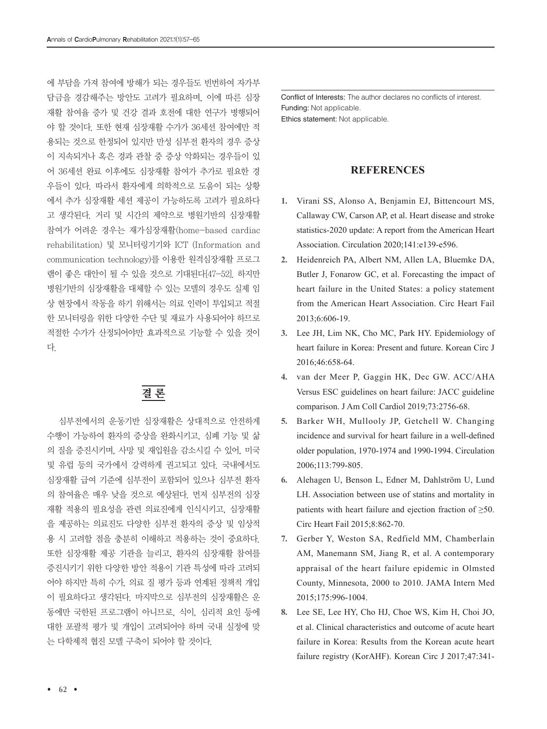에 부담을 가져 참여에 방해가 되는 경우들도 빈번하여 자가부 담금을 경감해주는 방안도 고려가 필요하며, 이에 따른 심장 재활 참여율 증가 및 건강 결과 호전에 대한 연구가 병행되어 야 할 것이다. 또한 현재 심장재활 수가가 36세션 참여에만 적 용되는 것으로 한정되어 있지만 만성 심부전 환자의 경우 증상 이 지속되거나 혹은 경과 관찰 중 증상 악화되는 경우들이 있 어 36세션 완료 이후에도 심장재활 참여가 추가로 필요한 경 우들이 있다. 따라서 환자에게 의학적으로 도움이 되는 상황 에서 추가 심장재활 세션 제공이 가능하도록 고려가 필요하다 고 생각된다. 거리 및 시간의 제약으로 병원기반의 심장재활 참여가 어려운 경우는 재가심장재활(home-based cardiac rehabilitation) 및 모니터링기기와 ICT (Information and communication technology)를 이용한 원격심장재활 프로그 램이 좋은 대안이 될 수 있을 것으로 기대된다[47-52]. 하지만 병원기반의 심장재활을 대체할 수 있는 모델의 경우도 실제 임 상 현장에서 작동을 하기 위해서는 의료 인력이 투입되고 적절 한 모니터링을 위한 다양한 수단 및 재료가 사용되어야 하므로 적절한 수가가 산정되어야만 효과적으로 기능할 수 있을 것이 다.

## 결 론

 심부전에서의 운동기반 심장재활은 상대적으로 안전하게 수행이 가능하여 환자의 증상을 완화시키고, 심폐 기능 및 삶 의 질을 증진시키며, 사망 및 재입원을 감소시킬 수 있어, 미국 및 유럽 등의 국가에서 강력하게 권고되고 있다. 국내에서도 심장재활 급여 기준에 심부전이 포함되어 있으나 심부전 환자 의 참여율은 매우 낮을 것으로 예상된다. 먼저 심부전의 심장 재활 적용의 필요성을 관련 의료진에게 인식시키고, 심장재활 을 제공하는 의료진도 다양한 심부전 환자의 증상 및 임상적 용 시 고려할 점을 충분히 이해하고 적용하는 것이 중요하다. 또한 심장재활 제공 기관을 늘리고, 환자의 심장재활 참여를 증진시키기 위한 다양한 방안 적용이 기관 특성에 따라 고려되 어야 하지만 특히 수가, 의료 질 평가 등과 연계된 정책적 개입 이 필요하다고 생각된다. 마지막으로 심부전의 심장재활은 운 동에만 국한된 프로그램이 아니므로, 식이, 심리적 요인 등에 대한 포괄적 평가 및 개입이 고려되어야 하며 국내 실정에 맞 는 다학제적 협진 모델 구축이 되어야 할 것이다.

Conflict of Interests: The author declares no conflicts of interest. Funding: Not applicable. Ethics statement: Not applicable.

#### **REFERENCES**

- **1.** Virani SS, Alonso A, Benjamin EJ, Bittencourt MS, Callaway CW, Carson AP, et al. Heart disease and stroke statistics-2020 update: A report from the American Heart Association. Circulation 2020;141:e139-e596.
- **2.** Heidenreich PA, Albert NM, Allen LA, Bluemke DA, Butler J, Fonarow GC, et al. Forecasting the impact of heart failure in the United States: a policy statement from the American Heart Association. Circ Heart Fail 2013;6:606-19.
- **3.** Lee JH, Lim NK, Cho MC, Park HY. Epidemiology of heart failure in Korea: Present and future. Korean Circ J 2016;46:658-64.
- **4.** van der Meer P, Gaggin HK, Dec GW. ACC/AHA Versus ESC guidelines on heart failure: JACC guideline comparison. J Am Coll Cardiol 2019;73:2756-68.
- **5.** Barker WH, Mullooly JP, Getchell W. Changing incidence and survival for heart failure in a well-defined older population, 1970-1974 and 1990-1994. Circulation 2006;113:799-805.
- **6.** Alehagen U, Benson L, Edner M, Dahlström U, Lund LH. Association between use of statins and mortality in patients with heart failure and ejection fraction of ≥50. Circ Heart Fail 2015;8:862-70.
- **7.** Gerber Y, Weston SA, Redfield MM, Chamberlain AM, Manemann SM, Jiang R, et al. A contemporary appraisal of the heart failure epidemic in Olmsted County, Minnesota, 2000 to 2010. JAMA Intern Med 2015;175:996-1004.
- **8.** Lee SE, Lee HY, Cho HJ, Choe WS, Kim H, Choi JO, et al. Clinical characteristics and outcome of acute heart failure in Korea: Results from the Korean acute heart failure registry (KorAHF). Korean Circ J 2017;47:341-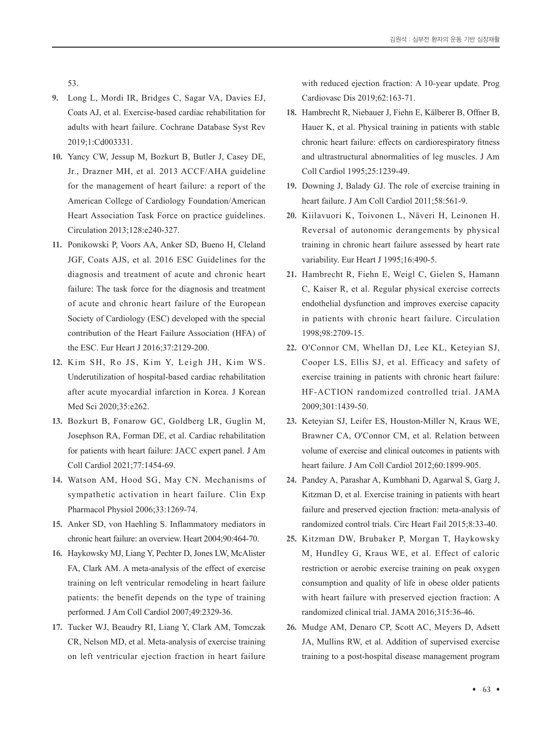53.

- **9.** Long L, Mordi IR, Bridges C, Sagar VA, Davies EJ, Coats AJ, et al. Exercise-based cardiac rehabilitation for adults with heart failure. Cochrane Database Syst Rev 2019;1:Cd003331.
- **10.** Yancy CW, Jessup M, Bozkurt B, Butler J, Casey DE, Jr., Drazner MH, et al. 2013 ACCF/AHA guideline for the management of heart failure: a report of the American College of Cardiology Foundation/American Heart Association Task Force on practice guidelines. Circulation 2013;128:e240-327.
- **11.** Ponikowski P, Voors AA, Anker SD, Bueno H, Cleland JGF, Coats AJS, et al. 2016 ESC Guidelines for the diagnosis and treatment of acute and chronic heart failure: The task force for the diagnosis and treatment of acute and chronic heart failure of the European Society of Cardiology (ESC) developed with the special contribution of the Heart Failure Association (HFA) of the ESC. Eur Heart J 2016;37:2129-200.
- **12.** Kim SH, Ro JS, Kim Y, Leigh JH, Kim WS. Underutilization of hospital-based cardiac rehabilitation after acute myocardial infarction in Korea. J Korean Med Sci 2020;35:e262.
- **13.** Bozkurt B, Fonarow GC, Goldberg LR, Guglin M, Josephson RA, Forman DE, et al. Cardiac rehabilitation for patients with heart failure: JACC expert panel. J Am Coll Cardiol 2021;77:1454-69.
- **14.** Watson AM, Hood SG, May CN. Mechanisms of sympathetic activation in heart failure. Clin Exp Pharmacol Physiol 2006;33:1269-74.
- **15.** Anker SD, von Haehling S. Inflammatory mediators in chronic heart failure: an overview. Heart 2004;90:464-70.
- **16.** Haykowsky MJ, Liang Y, Pechter D, Jones LW, McAlister FA, Clark AM. A meta-analysis of the effect of exercise training on left ventricular remodeling in heart failure patients: the benefit depends on the type of training performed. J Am Coll Cardiol 2007;49:2329-36.
- **17.** Tucker WJ, Beaudry RI, Liang Y, Clark AM, Tomczak CR, Nelson MD, et al. Meta-analysis of exercise training on left ventricular ejection fraction in heart failure

with reduced ejection fraction: A 10-year update. Prog Cardiovasc Dis 2019;62:163-71.

- **18.** Hambrecht R, Niebauer J, Fiehn E, Kälberer B, Offner B, Hauer K, et al. Physical training in patients with stable chronic heart failure: effects on cardiorespiratory fitness and ultrastructural abnormalities of leg muscles. J Am Coll Cardiol 1995;25:1239-49.
- **19.** Downing J, Balady GJ. The role of exercise training in heart failure. J Am Coll Cardiol 2011;58:561-9.
- **20.** Kiilavuori K, Toivonen L, Näveri H, Leinonen H. Reversal of autonomic derangements by physical training in chronic heart failure assessed by heart rate variability. Eur Heart J 1995;16:490-5.
- **21.** Hambrecht R, Fiehn E, Weigl C, Gielen S, Hamann C, Kaiser R, et al. Regular physical exercise corrects endothelial dysfunction and improves exercise capacity in patients with chronic heart failure. Circulation 1998;98:2709-15.
- **22.** O'Connor CM, Whellan DJ, Lee KL, Keteyian SJ, Cooper LS, Ellis SJ, et al. Efficacy and safety of exercise training in patients with chronic heart failure: HF-ACTION randomized controlled trial. JAMA 2009;301:1439-50.
- **23.** Keteyian SJ, Leifer ES, Houston-Miller N, Kraus WE, Brawner CA, O'Connor CM, et al. Relation between volume of exercise and clinical outcomes in patients with heart failure. J Am Coll Cardiol 2012;60:1899-905.
- **24.** Pandey A, Parashar A, Kumbhani D, Agarwal S, Garg J, Kitzman D, et al. Exercise training in patients with heart failure and preserved ejection fraction: meta-analysis of randomized control trials. Circ Heart Fail 2015;8:33-40.
- **25.** Kitzman DW, Brubaker P, Morgan T, Haykowsky M, Hundley G, Kraus WE, et al. Effect of caloric restriction or aerobic exercise training on peak oxygen consumption and quality of life in obese older patients with heart failure with preserved ejection fraction: A randomized clinical trial. JAMA 2016;315:36-46.
- **26.** Mudge AM, Denaro CP, Scott AC, Meyers D, Adsett JA, Mullins RW, et al. Addition of supervised exercise training to a post-hospital disease management program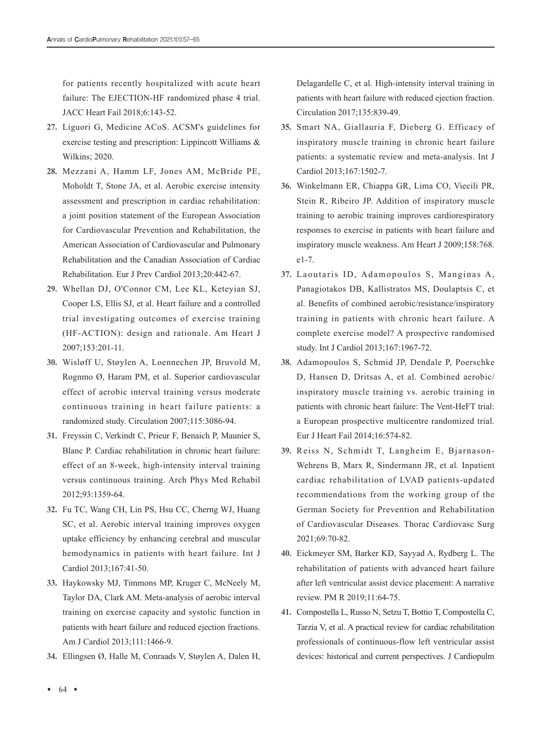for patients recently hospitalized with acute heart failure: The EJECTION-HF randomized phase 4 trial. JACC Heart Fail 2018;6:143-52.

- **27.** Liguori G, Medicine ACoS. ACSM's guidelines for exercise testing and prescription: Lippincott Williams & Wilkins; 2020.
- **28.** Mezzani A, Hamm LF, Jones AM, McBride PE, Moholdt T, Stone JA, et al. Aerobic exercise intensity assessment and prescription in cardiac rehabilitation: a joint position statement of the European Association for Cardiovascular Prevention and Rehabilitation, the American Association of Cardiovascular and Pulmonary Rehabilitation and the Canadian Association of Cardiac Rehabilitation. Eur J Prev Cardiol 2013;20:442-67.
- **29.** Whellan DJ, O'Connor CM, Lee KL, Keteyian SJ, Cooper LS, Ellis SJ, et al. Heart failure and a controlled trial investigating outcomes of exercise training (HF-ACTION): design and rationale. Am Heart J 2007;153:201-11.
- **30.** Wisløff U, Støylen A, Loennechen JP, Bruvold M, Rognmo Ø, Haram PM, et al. Superior cardiovascular effect of aerobic interval training versus moderate continuous training in heart failure patients: a randomized study. Circulation 2007;115:3086-94.
- **31.** Freyssin C, Verkindt C, Prieur F, Benaich P, Maunier S, Blanc P. Cardiac rehabilitation in chronic heart failure: effect of an 8-week, high-intensity interval training versus continuous training. Arch Phys Med Rehabil 2012;93:1359-64.
- **32.** Fu TC, Wang CH, Lin PS, Hsu CC, Cherng WJ, Huang SC, et al. Aerobic interval training improves oxygen uptake efficiency by enhancing cerebral and muscular hemodynamics in patients with heart failure. Int J Cardiol 2013;167:41-50.
- **33.** Haykowsky MJ, Timmons MP, Kruger C, McNeely M, Taylor DA, Clark AM. Meta-analysis of aerobic interval training on exercise capacity and systolic function in patients with heart failure and reduced ejection fractions. Am J Cardiol 2013;111:1466-9.
- **34.** Ellingsen Ø, Halle M, Conraads V, Støylen A, Dalen H,

Delagardelle C, et al. High-intensity interval training in patients with heart failure with reduced ejection fraction. Circulation 2017;135:839-49.

- **35.** Smart NA, Giallauria F, Dieberg G. Efficacy of inspiratory muscle training in chronic heart failure patients: a systematic review and meta-analysis. Int J Cardiol 2013;167:1502-7.
- **36.** Winkelmann ER, Chiappa GR, Lima CO, Viecili PR, Stein R, Ribeiro JP. Addition of inspiratory muscle training to aerobic training improves cardiorespiratory responses to exercise in patients with heart failure and inspiratory muscle weakness. Am Heart J 2009;158:768. e1-7.
- **37.** Laoutaris ID, Adamopoulos S, Manginas A, Panagiotakos DB, Kallistratos MS, Doulaptsis C, et al. Benefits of combined aerobic/resistance/inspiratory training in patients with chronic heart failure. A complete exercise model? A prospective randomised study. Int J Cardiol 2013;167:1967-72.
- **38.** Adamopoulos S, Schmid JP, Dendale P, Poerschke D, Hansen D, Dritsas A, et al. Combined aerobic/ inspiratory muscle training vs. aerobic training in patients with chronic heart failure: The Vent-HeFT trial: a European prospective multicentre randomized trial. Eur J Heart Fail 2014;16:574-82.
- **39.** Reiss N, Schmidt T, Langheim E, Bjarnason-Wehrens B, Marx R, Sindermann JR, et al. Inpatient cardiac rehabilitation of LVAD patients-updated recommendations from the working group of the German Society for Prevention and Rehabilitation of Cardiovascular Diseases. Thorac Cardiovasc Surg 2021;69:70-82.
- **40.** Eickmeyer SM, Barker KD, Sayyad A, Rydberg L. The rehabilitation of patients with advanced heart failure after left ventricular assist device placement: A narrative review. PM R 2019;11:64-75.
- **41.** Compostella L, Russo N, Setzu T, Bottio T, Compostella C, Tarzia V, et al. A practical review for cardiac rehabilitation professionals of continuous-flow left ventricular assist devices: historical and current perspectives. J Cardiopulm